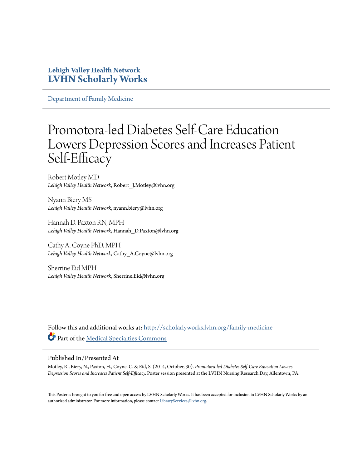#### **Lehigh Valley Health Network [LVHN Scholarly Works](http://scholarlyworks.lvhn.org?utm_source=scholarlyworks.lvhn.org%2Ffamily-medicine%2F163&utm_medium=PDF&utm_campaign=PDFCoverPages)**

[Department of Family Medicine](http://scholarlyworks.lvhn.org/family-medicine?utm_source=scholarlyworks.lvhn.org%2Ffamily-medicine%2F163&utm_medium=PDF&utm_campaign=PDFCoverPages)

#### Promotora-led Diabetes Self-Care Education Lowers Depression Scores and Increases Patient Self-Efficacy

Robert Motley MD *Lehigh Valley Health Network*, Robert\_J.Motley@lvhn.org

Nyann Biery MS *Lehigh Valley Health Network*, nyann.biery@lvhn.org

Hannah D. Paxton RN, MPH *Lehigh Valley Health Network*, Hannah\_D.Paxton@lvhn.org

Cathy A. Coyne PhD, MPH *Lehigh Valley Health Network*, Cathy\_A.Coyne@lvhn.org

Sherrine Eid MPH *Lehigh Valley Health Network*, Sherrine.Eid@lvhn.org

Follow this and additional works at: [http://scholarlyworks.lvhn.org/family-medicine](http://scholarlyworks.lvhn.org/family-medicine?utm_source=scholarlyworks.lvhn.org%2Ffamily-medicine%2F163&utm_medium=PDF&utm_campaign=PDFCoverPages) Part of the [Medical Specialties Commons](http://network.bepress.com/hgg/discipline/680?utm_source=scholarlyworks.lvhn.org%2Ffamily-medicine%2F163&utm_medium=PDF&utm_campaign=PDFCoverPages)

#### Published In/Presented At

Motley, R., Biery, N., Paxton, H., Coyne, C. & Eid, S. (2014, October, 30). *Promotora-led Diabetes Self-Care Education Lowers Depression Scores and Increases Patient Self-Efficacy.* Poster session presented at the LVHN Nursing Research Day, Allentown, PA.

This Poster is brought to you for free and open access by LVHN Scholarly Works. It has been accepted for inclusion in LVHN Scholarly Works by an authorized administrator. For more information, please contact [LibraryServices@lvhn.org.](mailto:LibraryServices@lvhn.org)